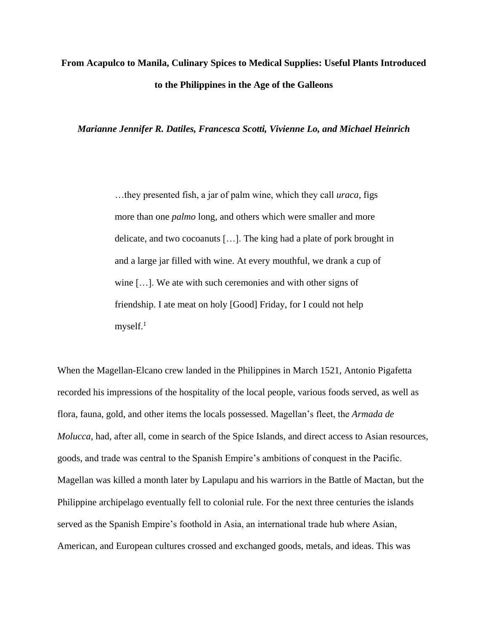# **From Acapulco to Manila, Culinary Spices to Medical Supplies: Useful Plants Introduced to the Philippines in the Age of the Galleons**

*Marianne Jennifer R. Datiles, Francesca Scotti, Vivienne Lo, and Michael Heinrich*

…they presented fish, a jar of palm wine, which they call *uraca*, figs more than one *palmo* long, and others which were smaller and more delicate, and two cocoanuts […]. The king had a plate of pork brought in and a large jar filled with wine. At every mouthful, we drank a cup of wine […]. We ate with such ceremonies and with other signs of friendship. I ate meat on holy [Good] Friday, for I could not help myself. $<sup>1</sup>$ </sup>

When the Magellan-Elcano crew landed in the Philippines in March 1521, Antonio Pigafetta recorded his impressions of the hospitality of the local people, various foods served, as well as flora, fauna, gold, and other items the locals possessed. Magellan's fleet, the *Armada de Molucca,* had, after all, come in search of the Spice Islands, and direct access to Asian resources, goods, and trade was central to the Spanish Empire's ambitions of conquest in the Pacific. Magellan was killed a month later by Lapulapu and his warriors in the Battle of Mactan, but the Philippine archipelago eventually fell to colonial rule. For the next three centuries the islands served as the Spanish Empire's foothold in Asia, an international trade hub where Asian, American, and European cultures crossed and exchanged goods, metals, and ideas. This was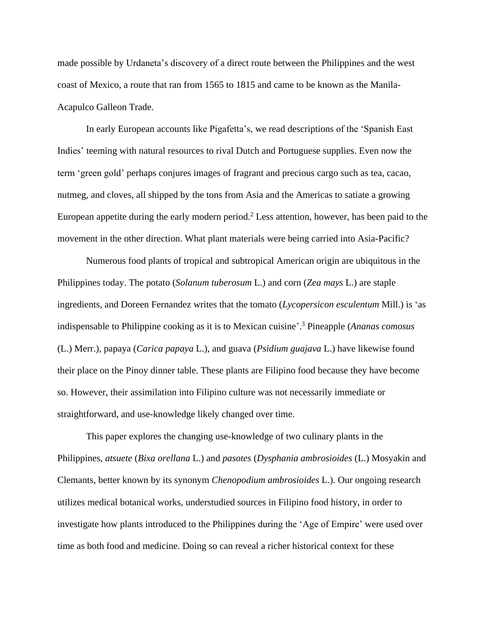made possible by Urdaneta's discovery of a direct route between the Philippines and the west coast of Mexico, a route that ran from 1565 to 1815 and came to be known as the Manila-Acapulco Galleon Trade.

In early European accounts like Pigafetta's, we read descriptions of the 'Spanish East Indies' teeming with natural resources to rival Dutch and Portuguese supplies. Even now the term 'green gold' perhaps conjures images of fragrant and precious cargo such as tea, cacao, nutmeg, and cloves, all shipped by the tons from Asia and the Americas to satiate a growing European appetite during the early modern period.<sup>2</sup> Less attention, however, has been paid to the movement in the other direction. What plant materials were being carried into Asia-Pacific?

Numerous food plants of tropical and subtropical American origin are ubiquitous in the Philippines today. The potato (*Solanum tuberosum* L.) and corn (*Zea mays* L.) are staple ingredients, and Doreen Fernandez writes that the tomato (*Lycopersicon esculentum* Mill.) is 'as indispensable to Philippine cooking as it is to Mexican cuisine'. <sup>3</sup> Pineapple (*Ananas comosus*  (L.) Merr.), papaya (*Carica papaya* L.), and guava (*Psidium guajava* L.) have likewise found their place on the Pinoy dinner table. These plants are Filipino food because they have become so. However, their assimilation into Filipino culture was not necessarily immediate or straightforward, and use-knowledge likely changed over time.

This paper explores the changing use-knowledge of two culinary plants in the Philippines, *atsuete* (*Bixa orellana* L.) and *pasotes* (*Dysphania ambrosioides* (L.) Mosyakin and Clemants, better known by its synonym *Chenopodium ambrosioides* L.). Our ongoing research utilizes medical botanical works, understudied sources in Filipino food history, in order to investigate how plants introduced to the Philippines during the 'Age of Empire' were used over time as both food and medicine. Doing so can reveal a richer historical context for these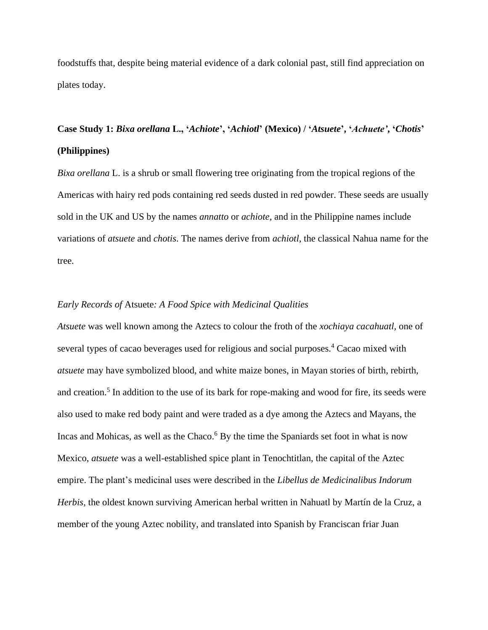foodstuffs that, despite being material evidence of a dark colonial past, still find appreciation on plates today.

## **Case Study 1:** *Bixa orellana* **L., '***Achiote***', '***Achiotl***' (Mexico) / '***Atsuete***', '***Achuete'***, '***Chotis***' (Philippines)**

*Bixa orellana* L. is a shrub or small flowering tree originating from the tropical regions of the Americas with hairy red pods containing red seeds dusted in red powder. These seeds are usually sold in the UK and US by the names *annatto* or *achiote,* and in the Philippine names include variations of *atsuete* and *chotis*. The names derive from *achiotl,* the classical Nahua name for the tree*.*

### *Early Records of* Atsuete*: A Food Spice with Medicinal Qualities*

*Atsuete* was well known among the Aztecs to colour the froth of the *xochiaya cacahuatl,* one of several types of cacao beverages used for religious and social purposes.<sup>4</sup> Cacao mixed with *atsuete* may have symbolized blood, and white maize bones, in Mayan stories of birth, rebirth, and creation.<sup>5</sup> In addition to the use of its bark for rope-making and wood for fire, its seeds were also used to make red body paint and were traded as a dye among the Aztecs and Mayans, the Incas and Mohicas, as well as the Chaco.<sup>6</sup> By the time the Spaniards set foot in what is now Mexico, *atsuete* was a well-established spice plant in Tenochtitlan, the capital of the Aztec empire. The plant's medicinal uses were described in the *Libellus de Medicinalibus Indorum Herbis*, the oldest known surviving American herbal written in Nahuatl by Martín de la Cruz, a member of the young Aztec nobility, and translated into Spanish by Franciscan friar Juan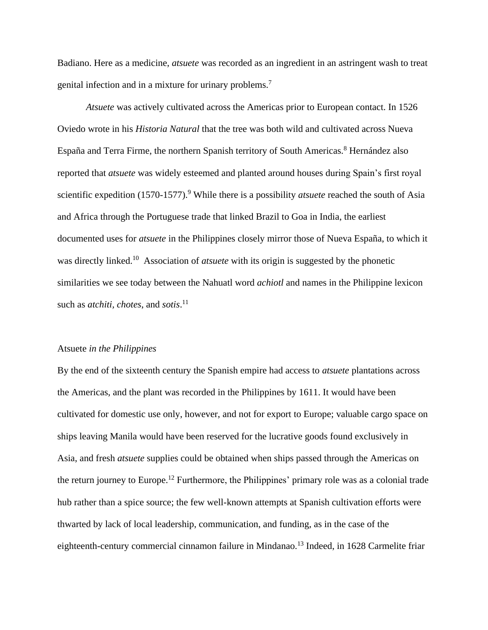Badiano. Here as a medicine, *atsuete* was recorded as an ingredient in an astringent wash to treat genital infection and in a mixture for urinary problems.<sup>7</sup>

*Atsuete* was actively cultivated across the Americas prior to European contact. In 1526 Oviedo wrote in his *Historia Natural* that the tree was both wild and cultivated across Nueva España and Terra Firme, the northern Spanish territory of South Americas.<sup>8</sup> Hernández also reported that *atsuete* was widely esteemed and planted around houses during Spain's first royal scientific expedition (1570-1577). <sup>9</sup> While there is a possibility *atsuete* reached the south of Asia and Africa through the Portuguese trade that linked Brazil to Goa in India, the earliest documented uses for *atsuete* in the Philippines closely mirror those of Nueva España, to which it was directly linked. <sup>10</sup> Association of *atsuete* with its origin is suggested by the phonetic similarities we see today between the Nahuatl word *achiotl* and names in the Philippine lexicon such as *atchiti, chotes*, and *sotis*. 11

#### Atsuete *in the Philippines*

By the end of the sixteenth century the Spanish empire had access to *atsuete* plantations across the Americas, and the plant was recorded in the Philippines by 1611. It would have been cultivated for domestic use only, however, and not for export to Europe; valuable cargo space on ships leaving Manila would have been reserved for the lucrative goods found exclusively in Asia, and fresh *atsuete* supplies could be obtained when ships passed through the Americas on the return journey to Europe.<sup>12</sup> Furthermore, the Philippines' primary role was as a colonial trade hub rather than a spice source; the few well-known attempts at Spanish cultivation efforts were thwarted by lack of local leadership, communication, and funding, as in the case of the eighteenth-century commercial cinnamon failure in Mindanao.<sup>13</sup> Indeed, in 1628 Carmelite friar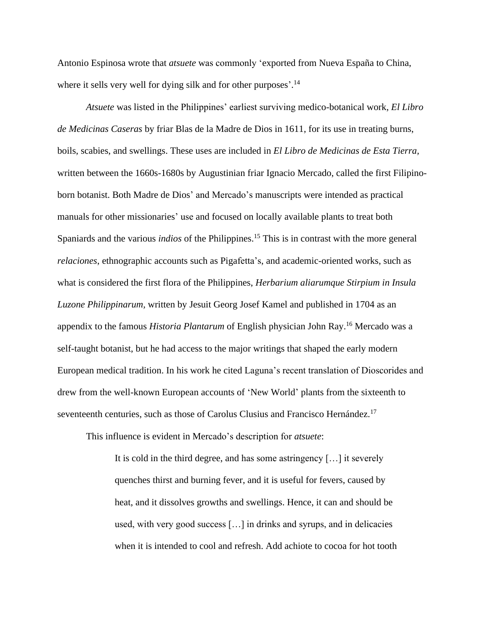Antonio Espinosa wrote that *atsuete* was commonly 'exported from Nueva España to China, where it sells very well for dying silk and for other purposes'.<sup>14</sup>

*Atsuete* was listed in the Philippines' earliest surviving medico-botanical work, *El Libro de Medicinas Caseras* by friar Blas de la Madre de Dios in 1611, for its use in treating burns, boils, scabies, and swellings. These uses are included in *El Libro de Medicinas de Esta Tierra,* written between the 1660s-1680s by Augustinian friar Ignacio Mercado, called the first Filipinoborn botanist. Both Madre de Dios' and Mercado's manuscripts were intended as practical manuals for other missionaries' use and focused on locally available plants to treat both Spaniards and the various *indios* of the Philippines.<sup>15</sup> This is in contrast with the more general *relaciones*, ethnographic accounts such as Pigafetta's, and academic-oriented works, such as what is considered the first flora of the Philippines, *Herbarium aliarumque Stirpium in Insula Luzone Philippinarum,* written by Jesuit Georg Josef Kamel and published in 1704 as an appendix to the famous *Historia Plantarum* of English physician John Ray.<sup>16</sup> Mercado was a self-taught botanist, but he had access to the major writings that shaped the early modern European medical tradition. In his work he cited Laguna's recent translation of Dioscorides and drew from the well-known European accounts of 'New World' plants from the sixteenth to seventeenth centuries, such as those of Carolus Clusius and Francisco Hernández.<sup>17</sup>

This influence is evident in Mercado's description for *atsuete*:

It is cold in the third degree, and has some astringency […] it severely quenches thirst and burning fever, and it is useful for fevers, caused by heat, and it dissolves growths and swellings. Hence, it can and should be used, with very good success […] in drinks and syrups, and in delicacies when it is intended to cool and refresh. Add achiote to cocoa for hot tooth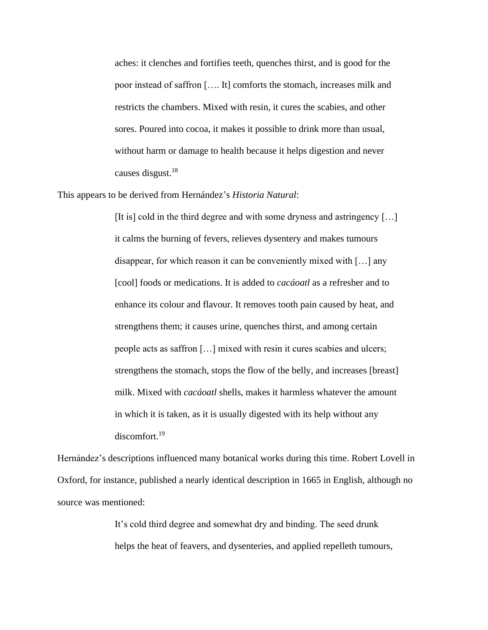aches: it clenches and fortifies teeth, quenches thirst, and is good for the poor instead of saffron […. It] comforts the stomach, increases milk and restricts the chambers. Mixed with resin, it cures the scabies, and other sores. Poured into cocoa, it makes it possible to drink more than usual, without harm or damage to health because it helps digestion and never causes disgust.<sup>18</sup>

This appears to be derived from Hernández's *Historia Natural*:

[It is] cold in the third degree and with some dryness and astringency […] it calms the burning of fevers, relieves dysentery and makes tumours disappear, for which reason it can be conveniently mixed with […] any [cool] foods or medications. It is added to *cacáoatl* as a refresher and to enhance its colour and flavour. It removes tooth pain caused by heat, and strengthens them; it causes urine, quenches thirst, and among certain people acts as saffron […] mixed with resin it cures scabies and ulcers; strengthens the stomach, stops the flow of the belly, and increases [breast] milk. Mixed with *cacáoatl* shells, makes it harmless whatever the amount in which it is taken, as it is usually digested with its help without any discomfort.<sup>19</sup>

Hernández's descriptions influenced many botanical works during this time. Robert Lovell in Oxford, for instance, published a nearly identical description in 1665 in English, although no source was mentioned:

> It's cold third degree and somewhat dry and binding. The seed drunk helps the heat of feavers, and dysenteries, and applied repelleth tumours,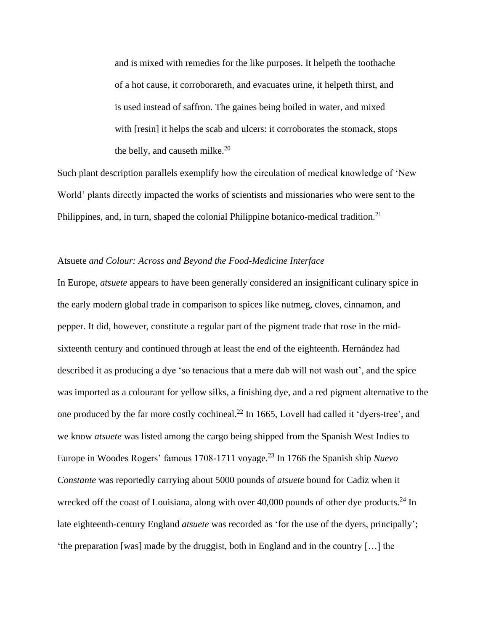and is mixed with remedies for the like purposes. It helpeth the toothache of a hot cause, it corroborareth, and evacuates urine, it helpeth thirst, and is used instead of saffron. The gaines being boiled in water, and mixed with [resin] it helps the scab and ulcers: it corroborates the stomack, stops the belly, and cause th milke. $20$ 

Such plant description parallels exemplify how the circulation of medical knowledge of 'New World' plants directly impacted the works of scientists and missionaries who were sent to the Philippines, and, in turn, shaped the colonial Philippine botanico-medical tradition.<sup>21</sup>

## Atsuete *and Colour: Across and Beyond the Food-Medicine Interface*

In Europe, *atsuete* appears to have been generally considered an insignificant culinary spice in the early modern global trade in comparison to spices like nutmeg, cloves, cinnamon, and pepper. It did, however, constitute a regular part of the pigment trade that rose in the midsixteenth century and continued through at least the end of the eighteenth. Hernández had described it as producing a dye 'so tenacious that a mere dab will not wash out', and the spice was imported as a colourant for yellow silks, a finishing dye, and a red pigment alternative to the one produced by the far more costly cochineal.<sup>22</sup> In 1665, Lovell had called it 'dyers-tree', and we know *atsuete* was listed among the cargo being shipped from the Spanish West Indies to Europe in Woodes Rogers' famous 1708-1711 voyage.<sup>23</sup> In 1766 the Spanish ship *Nuevo Constante* was reportedly carrying about 5000 pounds of *atsuete* bound for Cadiz when it wrecked off the coast of Louisiana, along with over 40,000 pounds of other dye products.<sup>24</sup> In late eighteenth-century England *atsuete* was recorded as 'for the use of the dyers, principally'; 'the preparation [was] made by the druggist, both in England and in the country […] the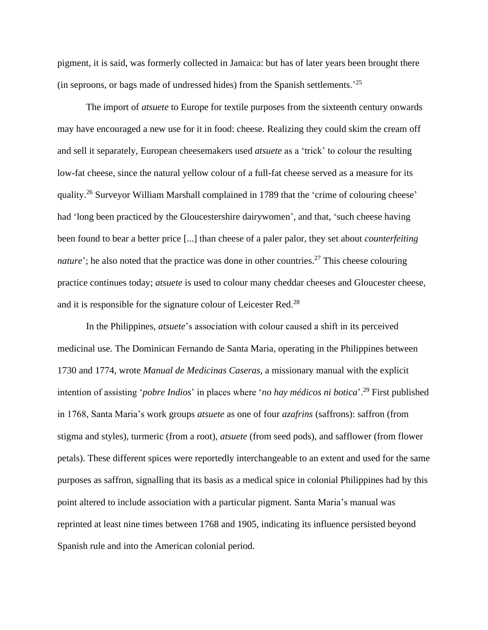pigment, it is said, was formerly collected in Jamaica: but has of later years been brought there (in seproons, or bags made of undressed hides) from the Spanish settlements.<sup>25</sup>

The import of *atsuete* to Europe for textile purposes from the sixteenth century onwards may have encouraged a new use for it in food: cheese. Realizing they could skim the cream off and sell it separately, European cheesemakers used *atsuete* as a 'trick' to colour the resulting low-fat cheese, since the natural yellow colour of a full-fat cheese served as a measure for its quality.<sup>26</sup> Surveyor William Marshall complained in 1789 that the 'crime of colouring cheese' had 'long been practiced by the Gloucestershire dairywomen', and that, 'such cheese having been found to bear a better price [...] than cheese of a paler palor, they set about *counterfeiting nature*'; he also noted that the practice was done in other countries.<sup>27</sup> This cheese colouring practice continues today; *atsuete* is used to colour many cheddar cheeses and Gloucester cheese, and it is responsible for the signature colour of Leicester Red.<sup>28</sup>

In the Philippines, *atsuete*'s association with colour caused a shift in its perceived medicinal use. The Dominican Fernando de Santa Maria, operating in the Philippines between 1730 and 1774, wrote *Manual de Medicinas Caseras,* a missionary manual with the explicit intention of assisting '*pobre Indios*' in places where '*no hay médicos ni botica*'.<sup>29</sup> First published in 1768, Santa Maria's work groups *atsuete* as one of four *azafrins* (saffrons): saffron (from stigma and styles), turmeric (from a root), *atsuete* (from seed pods), and safflower (from flower petals). These different spices were reportedly interchangeable to an extent and used for the same purposes as saffron, signalling that its basis as a medical spice in colonial Philippines had by this point altered to include association with a particular pigment. Santa Maria's manual was reprinted at least nine times between 1768 and 1905, indicating its influence persisted beyond Spanish rule and into the American colonial period.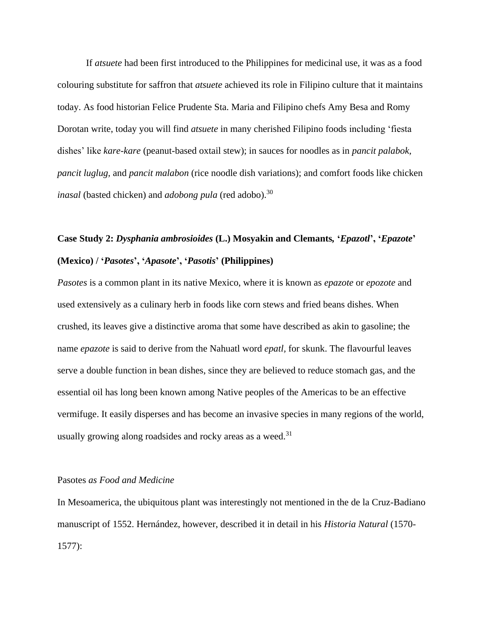If *atsuete* had been first introduced to the Philippines for medicinal use, it was as a food colouring substitute for saffron that *atsuete* achieved its role in Filipino culture that it maintains today. As food historian Felice Prudente Sta. Maria and Filipino chefs Amy Besa and Romy Dorotan write, today you will find *atsuete* in many cherished Filipino foods including 'fiesta dishes' like *kare-kare* (peanut-based oxtail stew); in sauces for noodles as in *pancit palabok, pancit luglug,* and *pancit malabon* (rice noodle dish variations); and comfort foods like chicken *inasal* (basted chicken) and *adobong pula* (red adobo).<sup>30</sup>

# **Case Study 2:** *Dysphania ambrosioides* **(L.) Mosyakin and Clemants***,* **'***Epazotl***', '***Epazote***' (Mexico) / '***Pasotes***', '***Apasote***', '***Pasotis***' (Philippines)**

*Pasotes* is a common plant in its native Mexico, where it is known as *epazote* or *epozote* and used extensively as a culinary herb in foods like corn stews and fried beans dishes. When crushed, its leaves give a distinctive aroma that some have described as akin to gasoline; the name *epazote* is said to derive from the Nahuatl word *epatl,* for skunk. The flavourful leaves serve a double function in bean dishes, since they are believed to reduce stomach gas, and the essential oil has long been known among Native peoples of the Americas to be an effective vermifuge. It easily disperses and has become an invasive species in many regions of the world, usually growing along roadsides and rocky areas as a weed. $31$ 

#### Pasotes *as Food and Medicine*

In Mesoamerica, the ubiquitous plant was interestingly not mentioned in the de la Cruz-Badiano manuscript of 1552. Hernández, however, described it in detail in his *Historia Natural* (1570- 1577):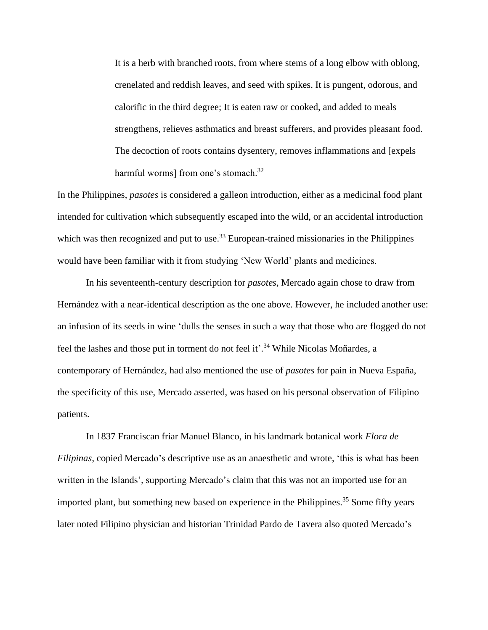It is a herb with branched roots, from where stems of a long elbow with oblong, crenelated and reddish leaves, and seed with spikes. It is pungent, odorous, and calorific in the third degree; It is eaten raw or cooked, and added to meals strengthens, relieves asthmatics and breast sufferers, and provides pleasant food. The decoction of roots contains dysentery, removes inflammations and [expels harmful worms] from one's stomach.<sup>32</sup>

In the Philippines, *pasotes* is considered a galleon introduction, either as a medicinal food plant intended for cultivation which subsequently escaped into the wild, or an accidental introduction which was then recognized and put to use.<sup>33</sup> European-trained missionaries in the Philippines would have been familiar with it from studying 'New World' plants and medicines.

In his seventeenth-century description for *pasotes,* Mercado again chose to draw from Hernández with a near-identical description as the one above. However, he included another use: an infusion of its seeds in wine 'dulls the senses in such a way that those who are flogged do not feel the lashes and those put in torment do not feel it'.<sup>34</sup> While Nicolas Moñardes, a contemporary of Hernández, had also mentioned the use of *pasotes* for pain in Nueva España, the specificity of this use, Mercado asserted, was based on his personal observation of Filipino patients.

In 1837 Franciscan friar Manuel Blanco, in his landmark botanical work *Flora de Filipinas*, copied Mercado's descriptive use as an anaesthetic and wrote, 'this is what has been written in the Islands', supporting Mercado's claim that this was not an imported use for an imported plant, but something new based on experience in the Philippines.<sup>35</sup> Some fifty years later noted Filipino physician and historian Trinidad Pardo de Tavera also quoted Mercado's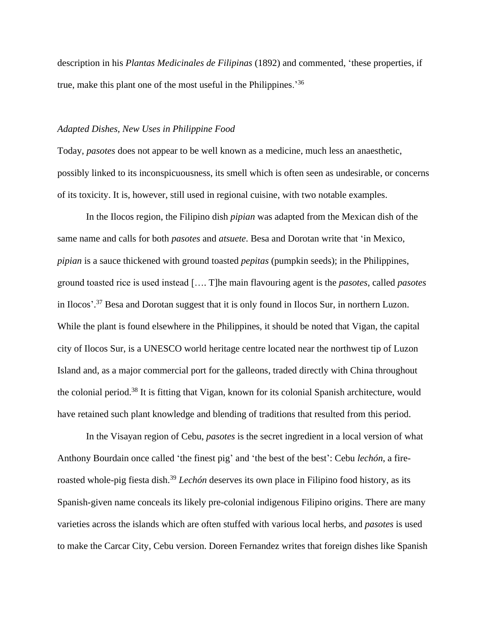description in his *Plantas Medicinales de Filipinas* (1892) and commented, 'these properties, if true, make this plant one of the most useful in the Philippines.'<sup>36</sup>

#### *Adapted Dishes, New Uses in Philippine Food*

Today, *pasotes* does not appear to be well known as a medicine, much less an anaesthetic, possibly linked to its inconspicuousness, its smell which is often seen as undesirable, or concerns of its toxicity. It is, however, still used in regional cuisine, with two notable examples.

In the Ilocos region, the Filipino dish *pipian* was adapted from the Mexican dish of the same name and calls for both *pasotes* and *atsuete*. Besa and Dorotan write that 'in Mexico, *pipian* is a sauce thickened with ground toasted *pepitas* (pumpkin seeds); in the Philippines, ground toasted rice is used instead […. T]he main flavouring agent is the *pasotes*, called *pasotes* in Ilocos'. <sup>37</sup> Besa and Dorotan suggest that it is only found in Ilocos Sur, in northern Luzon. While the plant is found elsewhere in the Philippines, it should be noted that Vigan, the capital city of Ilocos Sur, is a UNESCO world heritage centre located near the northwest tip of Luzon Island and, as a major commercial port for the galleons, traded directly with China throughout the colonial period.<sup>38</sup> It is fitting that Vigan, known for its colonial Spanish architecture, would have retained such plant knowledge and blending of traditions that resulted from this period.

In the Visayan region of Cebu, *pasotes* is the secret ingredient in a local version of what Anthony Bourdain once called 'the finest pig' and 'the best of the best': Cebu *lechón*, a fireroasted whole-pig fiesta dish. <sup>39</sup> *Lechón* deserves its own place in Filipino food history, as its Spanish-given name conceals its likely pre-colonial indigenous Filipino origins. There are many varieties across the islands which are often stuffed with various local herbs, and *pasotes* is used to make the Carcar City, Cebu version. Doreen Fernandez writes that foreign dishes like Spanish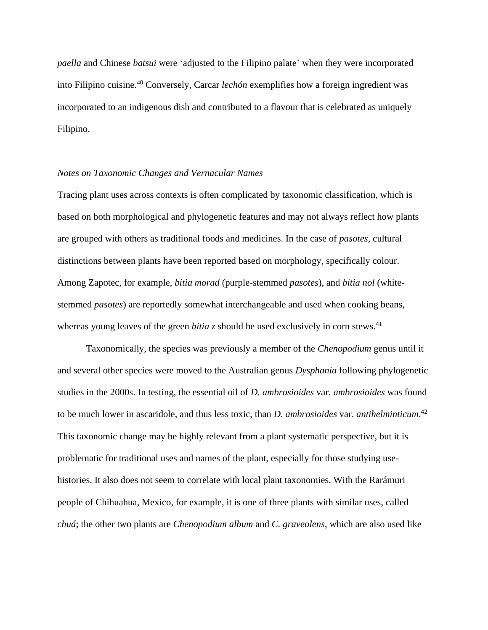*paella* and Chinese *batsui* were 'adjusted to the Filipino palate' when they were incorporated into Filipino cuisine.<sup>40</sup> Conversely, Carcar *lechón* exemplifies how a foreign ingredient was incorporated to an indigenous dish and contributed to a flavour that is celebrated as uniquely Filipino.

#### *Notes on Taxonomic Changes and Vernacular Names*

Tracing plant uses across contexts is often complicated by taxonomic classification, which is based on both morphological and phylogenetic features and may not always reflect how plants are grouped with others as traditional foods and medicines. In the case of *pasotes,* cultural distinctions between plants have been reported based on morphology, specifically colour. Among Zapotec, for example, *bitia morad* (purple-stemmed *pasotes*), and *bitia nol* (whitestemmed *pasotes*) are reportedly somewhat interchangeable and used when cooking beans, whereas young leaves of the green *bitia* z should be used exclusively in corn stews.<sup>41</sup>

Taxonomically, the species was previously a member of the *Chenopodium* genus until it and several other species were moved to the Australian genus *Dysphania* following phylogenetic studies in the 2000s. In testing, the essential oil of *D. ambrosioides* var. *ambrosioides* was found to be much lower in ascaridole, and thus less toxic, than *D. ambrosioides* var. *antihelminticum*. 42 This taxonomic change may be highly relevant from a plant systematic perspective, but it is problematic for traditional uses and names of the plant, especially for those studying usehistories. It also does not seem to correlate with local plant taxonomies. With the Rarámuri people of Chihuahua, Mexico, for example, it is one of three plants with similar uses, called *chuá*; the other two plants are *Chenopodium album* and *C. graveolens*, which are also used like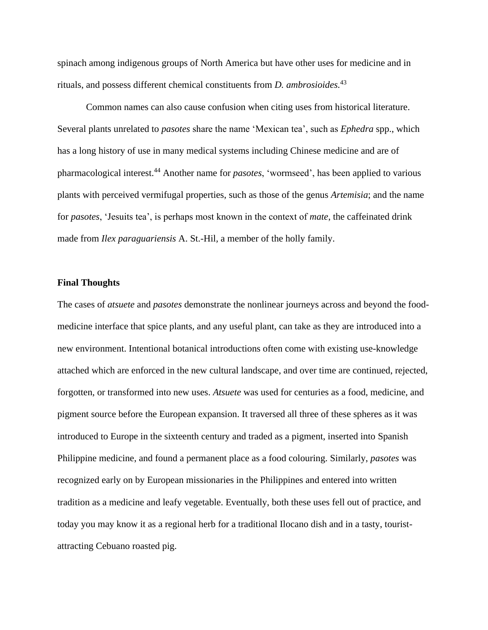spinach among indigenous groups of North America but have other uses for medicine and in rituals, and possess different chemical constituents from *D. ambrosioides.*<sup>43</sup>

Common names can also cause confusion when citing uses from historical literature. Several plants unrelated to *pasotes* share the name 'Mexican tea', such as *Ephedra* spp., which has a long history of use in many medical systems including Chinese medicine and are of pharmacological interest.<sup>44</sup> Another name for *pasotes*, 'wormseed', has been applied to various plants with perceived vermifugal properties, such as those of the genus *Artemisia*; and the name for *pasotes*, 'Jesuits tea', is perhaps most known in the context of *mate*, the caffeinated drink made from *Ilex paraguariensis* A. St.-Hil*,* a member of the holly family.

#### **Final Thoughts**

The cases of *atsuete* and *pasotes* demonstrate the nonlinear journeys across and beyond the foodmedicine interface that spice plants, and any useful plant, can take as they are introduced into a new environment. Intentional botanical introductions often come with existing use-knowledge attached which are enforced in the new cultural landscape, and over time are continued, rejected, forgotten, or transformed into new uses. *Atsuete* was used for centuries as a food, medicine, and pigment source before the European expansion. It traversed all three of these spheres as it was introduced to Europe in the sixteenth century and traded as a pigment, inserted into Spanish Philippine medicine, and found a permanent place as a food colouring. Similarly, *pasotes* was recognized early on by European missionaries in the Philippines and entered into written tradition as a medicine and leafy vegetable. Eventually, both these uses fell out of practice, and today you may know it as a regional herb for a traditional Ilocano dish and in a tasty, touristattracting Cebuano roasted pig.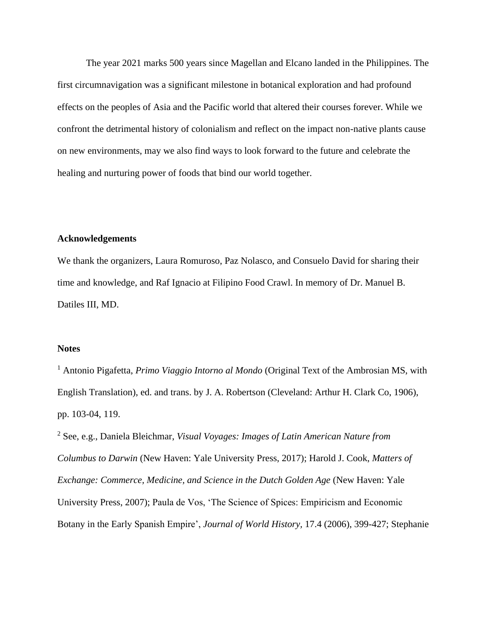The year 2021 marks 500 years since Magellan and Elcano landed in the Philippines. The first circumnavigation was a significant milestone in botanical exploration and had profound effects on the peoples of Asia and the Pacific world that altered their courses forever. While we confront the detrimental history of colonialism and reflect on the impact non-native plants cause on new environments, may we also find ways to look forward to the future and celebrate the healing and nurturing power of foods that bind our world together.

## **Acknowledgements**

We thank the organizers, Laura Romuroso, Paz Nolasco, and Consuelo David for sharing their time and knowledge, and Raf Ignacio at Filipino Food Crawl. In memory of Dr. Manuel B. Datiles III, MD.

### **Notes**

<sup>1</sup> Antonio Pigafetta, *Primo Viaggio Intorno al Mondo* (Original Text of the Ambrosian MS, with English Translation), ed. and trans. by J. A. Robertson (Cleveland: Arthur H. Clark Co, 1906), pp. 103-04, 119.

<sup>2</sup> See, e.g., Daniela Bleichmar, *Visual Voyages: Images of Latin American Nature from Columbus to Darwin* (New Haven: Yale University Press, 2017); Harold J. Cook, *Matters of Exchange: Commerce, Medicine, and Science in the Dutch Golden Age* (New Haven: Yale University Press, 2007); Paula de Vos, 'The Science of Spices: Empiricism and Economic Botany in the Early Spanish Empire', *Journal of World History,* 17.4 (2006), 399-427; Stephanie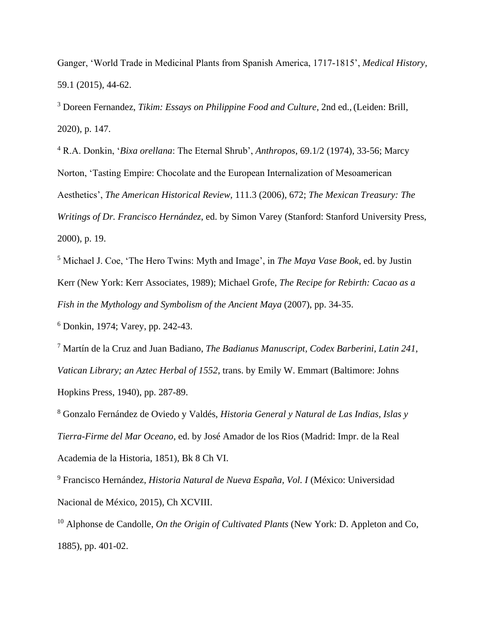Ganger, 'World Trade in Medicinal Plants from Spanish America, 1717-1815', *Medical History,*  59.1 (2015), 44-62.

<sup>3</sup> Doreen Fernandez, *Tikim: Essays on Philippine Food and Culture*, 2nd ed.,(Leiden: Brill, 2020), p. 147.

<sup>4</sup> R.A. Donkin, '*Bixa orellana*: The Eternal Shrub', *Anthropos*, 69.1/2 (1974), 33-56; Marcy Norton, 'Tasting Empire: Chocolate and the European Internalization of Mesoamerican Aesthetics', *The American Historical Review,* 111.3 (2006), 672; *The Mexican Treasury: The Writings of Dr. Francisco Hernández*, ed. by Simon Varey (Stanford: Stanford University Press, 2000), p. 19.

<sup>5</sup> Michael J. Coe, 'The Hero Twins: Myth and Image', in *The Maya Vase Book*, ed. by Justin Kerr (New York: Kerr Associates, 1989); Michael Grofe, *The Recipe for Rebirth: Cacao as a Fish in the Mythology and Symbolism of the Ancient Maya* (2007), pp. 34-35.

<sup>6</sup> Donkin, 1974; Varey, pp. 242-43.

<sup>7</sup> Martín de la Cruz and Juan Badiano, *The Badianus Manuscript, Codex Barberini, Latin 241, Vatican Library; an Aztec Herbal of 1552*, trans. by Emily W. Emmart (Baltimore: Johns Hopkins Press, 1940), pp. 287-89.

<sup>8</sup> Gonzalo Fernández de Oviedo y Valdés, *Historia General y Natural de Las Indias, Islas y Tierra-Firme del Mar Oceano*, ed. by José Amador de los Rios (Madrid: Impr. de la Real Academia de la Historia, 1851), Bk 8 Ch VI.

<sup>9</sup> Francisco Hernández, *Historia Natural de Nueva España, Vol. I* (México: Universidad Nacional de México, 2015), Ch XCVIII.

<sup>10</sup> Alphonse de Candolle, *On the Origin of Cultivated Plants* (New York: D. Appleton and Co, 1885), pp. 401-02.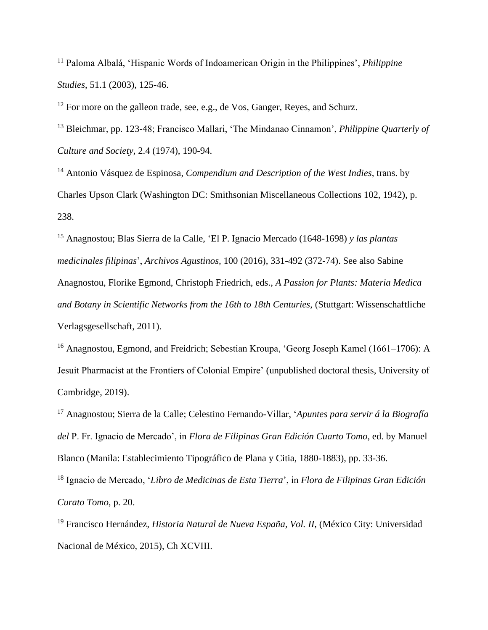<sup>11</sup> Paloma Albalá, 'Hispanic Words of Indoamerican Origin in the Philippines', *Philippine Studies*, 51.1 (2003), 125-46.

<sup>12</sup> For more on the galleon trade, see, e.g., de Vos, Ganger, Reyes, and Schurz.

<sup>13</sup> Bleichmar, pp. 123-48; Francisco Mallari, 'The Mindanao Cinnamon', *Philippine Quarterly of Culture and Society,* 2.4 (1974), 190-94.

<sup>14</sup> Antonio Vásquez de Espinosa, *Compendium and Description of the West Indies*, trans. by Charles Upson Clark (Washington DC: Smithsonian Miscellaneous Collections 102, 1942), p. 238.

<sup>15</sup> Anagnostou; Blas Sierra de la Calle, 'El P. Ignacio Mercado (1648-1698) *y las plantas medicinales filipinas*', *Archivos Agustinos,* 100 (2016), 331-492 (372-74). See also Sabine Anagnostou, Florike Egmond, Christoph Friedrich, eds., *A Passion for Plants: Materia Medica and Botany in Scientific Networks from the 16th to 18th Centuries*, (Stuttgart: Wissenschaftliche Verlagsgesellschaft, 2011).

<sup>16</sup> Anagnostou, Egmond, and Freidrich; Sebestian Kroupa, 'Georg Joseph Kamel (1661–1706): A Jesuit Pharmacist at the Frontiers of Colonial Empire' (unpublished doctoral thesis, University of Cambridge, 2019).

<sup>17</sup> Anagnostou; Sierra de la Calle; Celestino Fernando-Villar, '*Apuntes para servir á la Biografía del* P. Fr. Ignacio de Mercado', in *Flora de Filipinas Gran Edición Cuarto Tomo*, ed. by Manuel Blanco (Manila: Establecimiento Tipográfico de Plana y Citia, 1880-1883), pp. 33-36.

18 Ignacio de Mercado, '*Libro de Medicinas de Esta Tierra*', in *Flora de Filipinas Gran Edición Curato Tomo*, p. 20.

<sup>19</sup> Francisco Hernández, *Historia Natural de Nueva España, Vol. II,* (México City: Universidad Nacional de México, 2015), Ch XCVIII.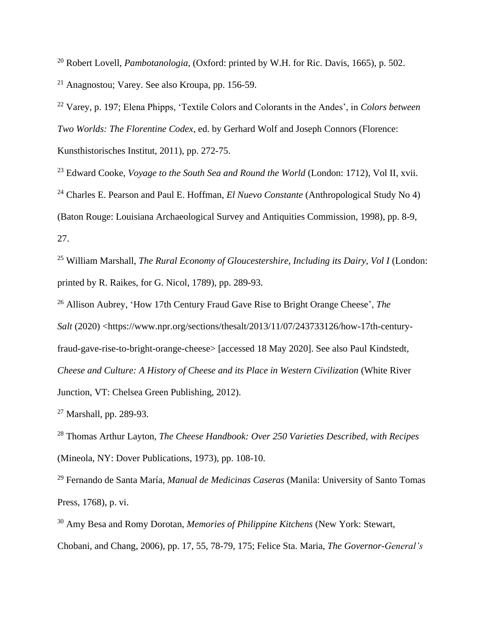<sup>20</sup> Robert Lovell, *Pambotanologia,* (Oxford: printed by W.H. for Ric. Davis, 1665), p. 502. <sup>21</sup> Anagnostou; Varey. See also Kroupa, pp. 156-59.

<sup>22</sup> Varey, p. 197; Elena Phipps, 'Textile Colors and Colorants in the Andes', in *Colors between Two Worlds: The Florentine Codex*, ed. by Gerhard Wolf and Joseph Connors (Florence: Kunsthistorisches Institut, 2011), pp. 272-75.

<sup>23</sup> Edward Cooke, *Voyage to the South Sea and Round the World* (London: 1712), Vol II, xvii.

<sup>24</sup> Charles E. Pearson and Paul E. Hoffman, *El Nuevo Constante* (Anthropological Study No 4) (Baton Rouge: Louisiana Archaeological Survey and Antiquities Commission, 1998), pp. 8-9, 27.

<sup>25</sup> William Marshall, *The Rural Economy of Gloucestershire, Including its Dairy, Vol I* (London: printed by R. Raikes, for G. Nicol, 1789), pp. 289-93.

<sup>26</sup> Allison Aubrey, 'How 17th Century Fraud Gave Rise to Bright Orange Cheese', *The* 

*Salt* (2020) <https://www.npr.org/sections/thesalt/2013/11/07/243733126/how-17th-centuryfraud-gave-rise-to-bright-orange-cheese> [accessed 18 May 2020]. See also Paul Kindstedt, *Cheese and Culture: A History of Cheese and its Place in Western Civilization* (White River Junction, VT: Chelsea Green Publishing, 2012).

<sup>27</sup> Marshall, pp. 289-93.

<sup>28</sup> Thomas Arthur Layton, *The Cheese Handbook: Over 250 Varieties Described, with Recipes* (Mineola, NY: Dover Publications, 1973), pp. 108-10.

<sup>29</sup> Fernando de Santa María, *Manual de Medicinas Caseras* (Manila: University of Santo Tomas Press, 1768), p. vi.

<sup>30</sup> Amy Besa and Romy Dorotan, *Memories of Philippine Kitchens* (New York: Stewart, Chobani, and Chang, 2006), pp. 17, 55, 78-79, 175; Felice Sta. Maria, *The Governor-General's*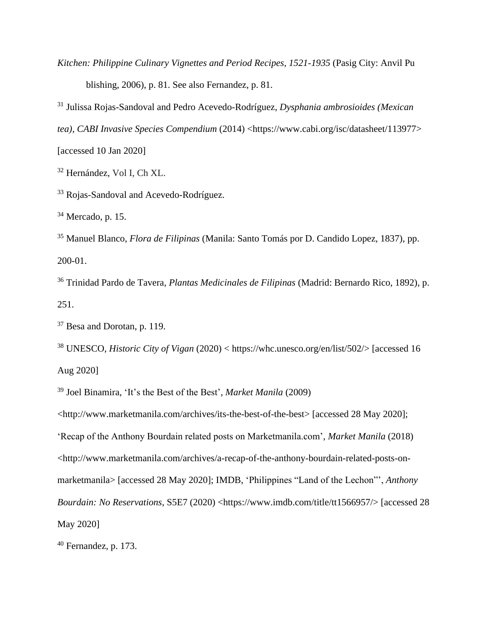- *Kitchen: Philippine Culinary Vignettes and Period Recipes, 1521-1935* (Pasig City: Anvil Pu blishing, 2006), p. 81. See also Fernandez, p. 81.
- 31 Julissa Rojas-Sandoval and Pedro Acevedo-Rodríguez, *Dysphania ambrosioides (Mexican tea), CABI Invasive Species Compendium* (2014) <https://www.cabi.org/isc/datasheet/113977> [accessed 10 Jan 2020]

<sup>32</sup> Hernández, Vol I, Ch XL.

<sup>33</sup> Rojas-Sandoval and Acevedo-Rodríguez.

 $34$  Mercado, p. 15.

<sup>35</sup> Manuel Blanco, *Flora de Filipinas* (Manila: Santo Tomás por D. Candido Lopez, 1837), pp. 200-01.

<sup>36</sup> Trinidad Pardo de Tavera, *Plantas Medicinales de Filipinas* (Madrid: Bernardo Rico, 1892), p. 251.

<sup>37</sup> Besa and Dorotan, p. 119.

<sup>38</sup> UNESCO, *Historic City of Vigan* (2020) < https://whc.unesco.org/en/list/502/> [accessed 16 Aug 2020]

<sup>39</sup> Joel Binamira, 'It's the Best of the Best', *Market Manila* (2009)

<http://www.marketmanila.com/archives/its-the-best-of-the-best> [accessed 28 May 2020]; 'Recap of the Anthony Bourdain related posts on Marketmanila.com', *Market Manila* (2018) <http://www.marketmanila.com/archives/a-recap-of-the-anthony-bourdain-related-posts-onmarketmanila> [accessed 28 May 2020]; IMDB, 'Philippines "Land of the Lechon"', *Anthony Bourdain: No Reservations*, S5E7 (2020) <https://www.imdb.com/title/tt1566957/> [accessed 28 May 2020]

<sup>40</sup> Fernandez, p. 173.